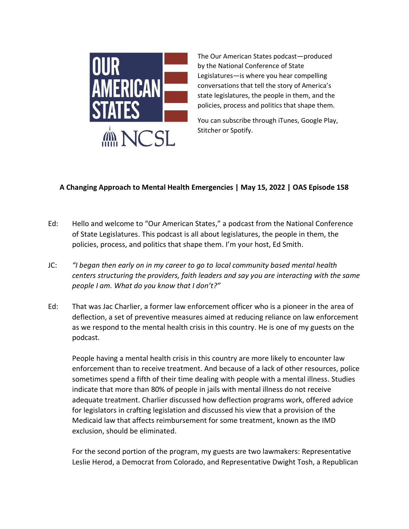

The Our American States podcast—produced by the National Conference of State Legislatures—is where you hear compelling conversations that tell the story of America's state legislatures, the people in them, and the policies, process and politics that shape them.

You can subscribe through iTunes, Google Play, Stitcher or Spotify.

## **A Changing Approach to Mental Health Emergencies | May 15, 2022 | OAS Episode 158**

- Ed: Hello and welcome to "Our American States," a podcast from the National Conference of State Legislatures. This podcast is all about legislatures, the people in them, the policies, process, and politics that shape them. I'm your host, Ed Smith.
- JC: *"I began then early on in my career to go to local community based mental health centers structuring the providers, faith leaders and say you are interacting with the same people I am. What do you know that I don't?"*
- Ed: That was Jac Charlier, a former law enforcement officer who is a pioneer in the area of deflection, a set of preventive measures aimed at reducing reliance on law enforcement as we respond to the mental health crisis in this country. He is one of my guests on the podcast.

People having a mental health crisis in this country are more likely to encounter law enforcement than to receive treatment. And because of a lack of other resources, police sometimes spend a fifth of their time dealing with people with a mental illness. Studies indicate that more than 80% of people in jails with mental illness do not receive adequate treatment. Charlier discussed how deflection programs work, offered advice for legislators in crafting legislation and discussed his view that a provision of the Medicaid law that affects reimbursement for some treatment, known as the IMD exclusion, should be eliminated.

For the second portion of the program, my guests are two lawmakers: Representative Leslie Herod, a Democrat from Colorado, and Representative Dwight Tosh, a Republican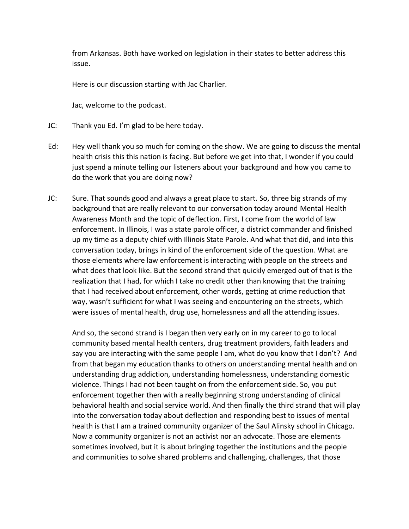from Arkansas. Both have worked on legislation in their states to better address this issue.

Here is our discussion starting with Jac Charlier.

Jac, welcome to the podcast.

- JC: Thank you Ed. I'm glad to be here today.
- Ed: Hey well thank you so much for coming on the show. We are going to discuss the mental health crisis this this nation is facing. But before we get into that, I wonder if you could just spend a minute telling our listeners about your background and how you came to do the work that you are doing now?
- JC: Sure. That sounds good and always a great place to start. So, three big strands of my background that are really relevant to our conversation today around Mental Health Awareness Month and the topic of deflection. First, I come from the world of law enforcement. In Illinois, I was a state parole officer, a district commander and finished up my time as a deputy chief with Illinois State Parole. And what that did, and into this conversation today, brings in kind of the enforcement side of the question. What are those elements where law enforcement is interacting with people on the streets and what does that look like. But the second strand that quickly emerged out of that is the realization that I had, for which I take no credit other than knowing that the training that I had received about enforcement, other words, getting at crime reduction that way, wasn't sufficient for what I was seeing and encountering on the streets, which were issues of mental health, drug use, homelessness and all the attending issues.

And so, the second strand is I began then very early on in my career to go to local community based mental health centers, drug treatment providers, faith leaders and say you are interacting with the same people I am, what do you know that I don't? And from that began my education thanks to others on understanding mental health and on understanding drug addiction, understanding homelessness, understanding domestic violence. Things I had not been taught on from the enforcement side. So, you put enforcement together then with a really beginning strong understanding of clinical behavioral health and social service world. And then finally the third strand that will play into the conversation today about deflection and responding best to issues of mental health is that I am a trained community organizer of the Saul Alinsky school in Chicago. Now a community organizer is not an activist nor an advocate. Those are elements sometimes involved, but it is about bringing together the institutions and the people and communities to solve shared problems and challenging, challenges, that those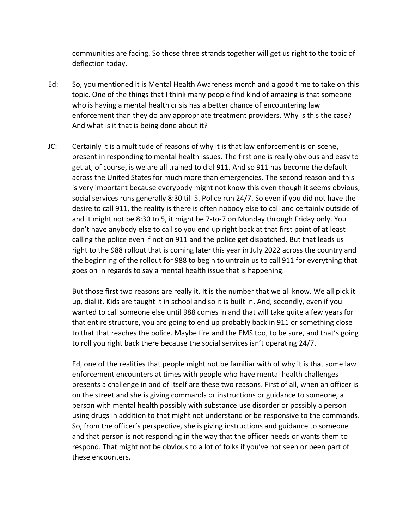communities are facing. So those three strands together will get us right to the topic of deflection today.

- Ed: So, you mentioned it is Mental Health Awareness month and a good time to take on this topic. One of the things that I think many people find kind of amazing is that someone who is having a mental health crisis has a better chance of encountering law enforcement than they do any appropriate treatment providers. Why is this the case? And what is it that is being done about it?
- JC: Certainly it is a multitude of reasons of why it is that law enforcement is on scene, present in responding to mental health issues. The first one is really obvious and easy to get at, of course, is we are all trained to dial 911. And so 911 has become the default across the United States for much more than emergencies. The second reason and this is very important because everybody might not know this even though it seems obvious, social services runs generally 8:30 till 5. Police run 24/7. So even if you did not have the desire to call 911, the reality is there is often nobody else to call and certainly outside of and it might not be 8:30 to 5, it might be 7-to-7 on Monday through Friday only. You don't have anybody else to call so you end up right back at that first point of at least calling the police even if not on 911 and the police get dispatched. But that leads us right to the 988 rollout that is coming later this year in July 2022 across the country and the beginning of the rollout for 988 to begin to untrain us to call 911 for everything that goes on in regards to say a mental health issue that is happening.

But those first two reasons are really it. It is the number that we all know. We all pick it up, dial it. Kids are taught it in school and so it is built in. And, secondly, even if you wanted to call someone else until 988 comes in and that will take quite a few years for that entire structure, you are going to end up probably back in 911 or something close to that that reaches the police. Maybe fire and the EMS too, to be sure, and that's going to roll you right back there because the social services isn't operating 24/7.

Ed, one of the realities that people might not be familiar with of why it is that some law enforcement encounters at times with people who have mental health challenges presents a challenge in and of itself are these two reasons. First of all, when an officer is on the street and she is giving commands or instructions or guidance to someone, a person with mental health possibly with substance use disorder or possibly a person using drugs in addition to that might not understand or be responsive to the commands. So, from the officer's perspective, she is giving instructions and guidance to someone and that person is not responding in the way that the officer needs or wants them to respond. That might not be obvious to a lot of folks if you've not seen or been part of these encounters.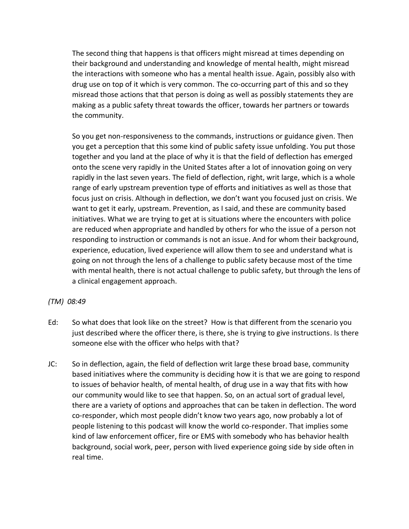The second thing that happens is that officers might misread at times depending on their background and understanding and knowledge of mental health, might misread the interactions with someone who has a mental health issue. Again, possibly also with drug use on top of it which is very common. The co-occurring part of this and so they misread those actions that that person is doing as well as possibly statements they are making as a public safety threat towards the officer, towards her partners or towards the community.

So you get non-responsiveness to the commands, instructions or guidance given. Then you get a perception that this some kind of public safety issue unfolding. You put those together and you land at the place of why it is that the field of deflection has emerged onto the scene very rapidly in the United States after a lot of innovation going on very rapidly in the last seven years. The field of deflection, right, writ large, which is a whole range of early upstream prevention type of efforts and initiatives as well as those that focus just on crisis. Although in deflection, we don't want you focused just on crisis. We want to get it early, upstream. Prevention, as I said, and these are community based initiatives. What we are trying to get at is situations where the encounters with police are reduced when appropriate and handled by others for who the issue of a person not responding to instruction or commands is not an issue. And for whom their background, experience, education, lived experience will allow them to see and understand what is going on not through the lens of a challenge to public safety because most of the time with mental health, there is not actual challenge to public safety, but through the lens of a clinical engagement approach.

## *(TM) 08:49*

- Ed: So what does that look like on the street? How is that different from the scenario you just described where the officer there, is there, she is trying to give instructions. Is there someone else with the officer who helps with that?
- JC: So in deflection, again, the field of deflection writ large these broad base, community based initiatives where the community is deciding how it is that we are going to respond to issues of behavior health, of mental health, of drug use in a way that fits with how our community would like to see that happen. So, on an actual sort of gradual level, there are a variety of options and approaches that can be taken in deflection. The word co-responder, which most people didn't know two years ago, now probably a lot of people listening to this podcast will know the world co-responder. That implies some kind of law enforcement officer, fire or EMS with somebody who has behavior health background, social work, peer, person with lived experience going side by side often in real time.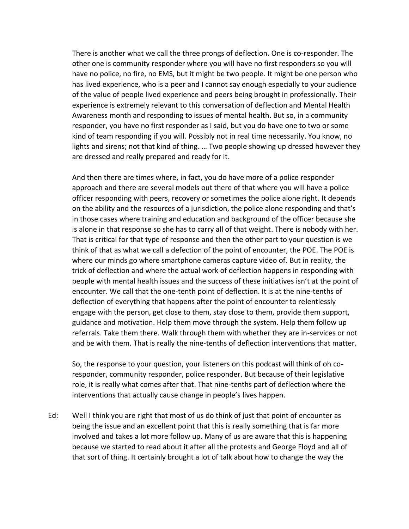There is another what we call the three prongs of deflection. One is co-responder. The other one is community responder where you will have no first responders so you will have no police, no fire, no EMS, but it might be two people. It might be one person who has lived experience, who is a peer and I cannot say enough especially to your audience of the value of people lived experience and peers being brought in professionally. Their experience is extremely relevant to this conversation of deflection and Mental Health Awareness month and responding to issues of mental health. But so, in a community responder, you have no first responder as I said, but you do have one to two or some kind of team responding if you will. Possibly not in real time necessarily. You know, no lights and sirens; not that kind of thing. … Two people showing up dressed however they are dressed and really prepared and ready for it.

And then there are times where, in fact, you do have more of a police responder approach and there are several models out there of that where you will have a police officer responding with peers, recovery or sometimes the police alone right. It depends on the ability and the resources of a jurisdiction, the police alone responding and that's in those cases where training and education and background of the officer because she is alone in that response so she has to carry all of that weight. There is nobody with her. That is critical for that type of response and then the other part to your question is we think of that as what we call a defection of the point of encounter, the POE. The POE is where our minds go where smartphone cameras capture video of. But in reality, the trick of deflection and where the actual work of deflection happens in responding with people with mental health issues and the success of these initiatives isn't at the point of encounter. We call that the one-tenth point of deflection. It is at the nine-tenths of deflection of everything that happens after the point of encounter to relentlessly engage with the person, get close to them, stay close to them, provide them support, guidance and motivation. Help them move through the system. Help them follow up referrals. Take them there. Walk through them with whether they are in-services or not and be with them. That is really the nine-tenths of deflection interventions that matter.

So, the response to your question, your listeners on this podcast will think of oh coresponder, community responder, police responder. But because of their legislative role, it is really what comes after that. That nine-tenths part of deflection where the interventions that actually cause change in people's lives happen.

Ed: Well I think you are right that most of us do think of just that point of encounter as being the issue and an excellent point that this is really something that is far more involved and takes a lot more follow up. Many of us are aware that this is happening because we started to read about it after all the protests and George Floyd and all of that sort of thing. It certainly brought a lot of talk about how to change the way the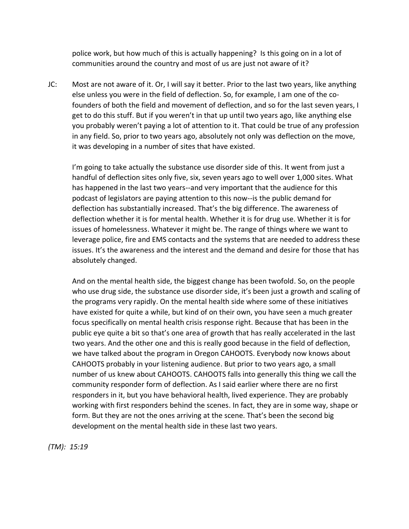police work, but how much of this is actually happening? Is this going on in a lot of communities around the country and most of us are just not aware of it?

JC: Most are not aware of it. Or, I will say it better. Prior to the last two years, like anything else unless you were in the field of deflection. So, for example, I am one of the cofounders of both the field and movement of deflection, and so for the last seven years, I get to do this stuff. But if you weren't in that up until two years ago, like anything else you probably weren't paying a lot of attention to it. That could be true of any profession in any field. So, prior to two years ago, absolutely not only was deflection on the move, it was developing in a number of sites that have existed.

I'm going to take actually the substance use disorder side of this. It went from just a handful of deflection sites only five, six, seven years ago to well over 1,000 sites. What has happened in the last two years--and very important that the audience for this podcast of legislators are paying attention to this now--is the public demand for deflection has substantially increased. That's the big difference. The awareness of deflection whether it is for mental health. Whether it is for drug use. Whether it is for issues of homelessness. Whatever it might be. The range of things where we want to leverage police, fire and EMS contacts and the systems that are needed to address these issues. It's the awareness and the interest and the demand and desire for those that has absolutely changed.

And on the mental health side, the biggest change has been twofold. So, on the people who use drug side, the substance use disorder side, it's been just a growth and scaling of the programs very rapidly. On the mental health side where some of these initiatives have existed for quite a while, but kind of on their own, you have seen a much greater focus specifically on mental health crisis response right. Because that has been in the public eye quite a bit so that's one area of growth that has really accelerated in the last two years. And the other one and this is really good because in the field of deflection, we have talked about the program in Oregon CAHOOTS. Everybody now knows about CAHOOTS probably in your listening audience. But prior to two years ago, a small number of us knew about CAHOOTS. CAHOOTS falls into generally this thing we call the community responder form of deflection. As I said earlier where there are no first responders in it, but you have behavioral health, lived experience. They are probably working with first responders behind the scenes. In fact, they are in some way, shape or form. But they are not the ones arriving at the scene. That's been the second big development on the mental health side in these last two years.

*(TM): 15:19*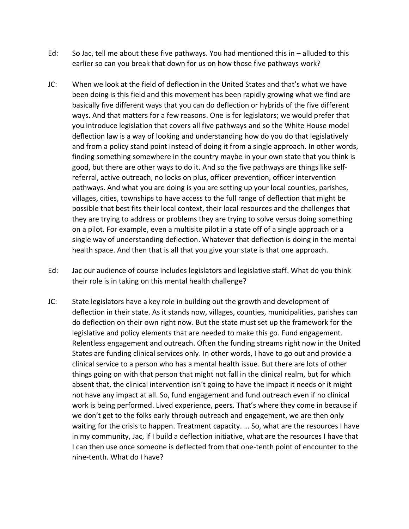- Ed: So Jac, tell me about these five pathways. You had mentioned this in alluded to this earlier so can you break that down for us on how those five pathways work?
- JC: When we look at the field of deflection in the United States and that's what we have been doing is this field and this movement has been rapidly growing what we find are basically five different ways that you can do deflection or hybrids of the five different ways. And that matters for a few reasons. One is for legislators; we would prefer that you introduce legislation that covers all five pathways and so the White House model deflection law is a way of looking and understanding how do you do that legislatively and from a policy stand point instead of doing it from a single approach. In other words, finding something somewhere in the country maybe in your own state that you think is good, but there are other ways to do it. And so the five pathways are things like selfreferral, active outreach, no locks on plus, officer prevention, officer intervention pathways. And what you are doing is you are setting up your local counties, parishes, villages, cities, townships to have access to the full range of deflection that might be possible that best fits their local context, their local resources and the challenges that they are trying to address or problems they are trying to solve versus doing something on a pilot. For example, even a multisite pilot in a state off of a single approach or a single way of understanding deflection. Whatever that deflection is doing in the mental health space. And then that is all that you give your state is that one approach.
- Ed: Jac our audience of course includes legislators and legislative staff. What do you think their role is in taking on this mental health challenge?
- JC: State legislators have a key role in building out the growth and development of deflection in their state. As it stands now, villages, counties, municipalities, parishes can do deflection on their own right now. But the state must set up the framework for the legislative and policy elements that are needed to make this go. Fund engagement. Relentless engagement and outreach. Often the funding streams right now in the United States are funding clinical services only. In other words, I have to go out and provide a clinical service to a person who has a mental health issue. But there are lots of other things going on with that person that might not fall in the clinical realm, but for which absent that, the clinical intervention isn't going to have the impact it needs or it might not have any impact at all. So, fund engagement and fund outreach even if no clinical work is being performed. Lived experience, peers. That's where they come in because if we don't get to the folks early through outreach and engagement, we are then only waiting for the crisis to happen. Treatment capacity. … So, what are the resources I have in my community, Jac, if I build a deflection initiative, what are the resources I have that I can then use once someone is deflected from that one-tenth point of encounter to the nine-tenth. What do I have?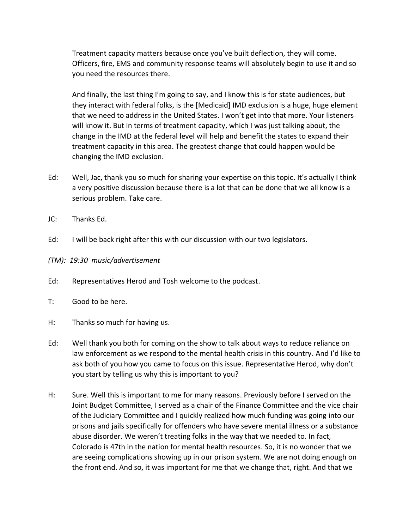Treatment capacity matters because once you've built deflection, they will come. Officers, fire, EMS and community response teams will absolutely begin to use it and so you need the resources there.

And finally, the last thing I'm going to say, and I know this is for state audiences, but they interact with federal folks, is the [Medicaid] IMD exclusion is a huge, huge element that we need to address in the United States. I won't get into that more. Your listeners will know it. But in terms of treatment capacity, which I was just talking about, the change in the IMD at the federal level will help and benefit the states to expand their treatment capacity in this area. The greatest change that could happen would be changing the IMD exclusion.

- Ed: Well, Jac, thank you so much for sharing your expertise on this topic. It's actually I think a very positive discussion because there is a lot that can be done that we all know is a serious problem. Take care.
- JC: Thanks Ed.
- Ed: I will be back right after this with our discussion with our two legislators.
- *(TM): 19:30 music/advertisement*
- Ed: Representatives Herod and Tosh welcome to the podcast.
- T: Good to be here.
- H: Thanks so much for having us.
- Ed: Well thank you both for coming on the show to talk about ways to reduce reliance on law enforcement as we respond to the mental health crisis in this country. And I'd like to ask both of you how you came to focus on this issue. Representative Herod, why don't you start by telling us why this is important to you?
- H: Sure. Well this is important to me for many reasons. Previously before I served on the Joint Budget Committee, I served as a chair of the Finance Committee and the vice chair of the Judiciary Committee and I quickly realized how much funding was going into our prisons and jails specifically for offenders who have severe mental illness or a substance abuse disorder. We weren't treating folks in the way that we needed to. In fact, Colorado is 47th in the nation for mental health resources. So, it is no wonder that we are seeing complications showing up in our prison system. We are not doing enough on the front end. And so, it was important for me that we change that, right. And that we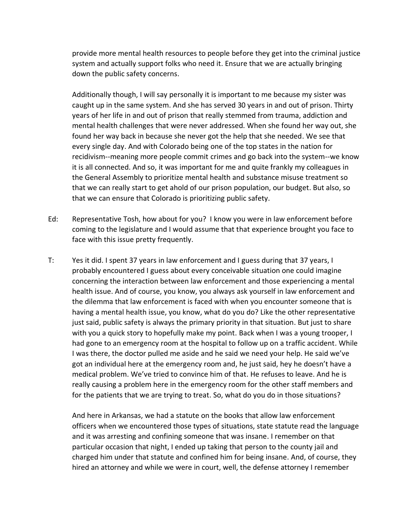provide more mental health resources to people before they get into the criminal justice system and actually support folks who need it. Ensure that we are actually bringing down the public safety concerns.

Additionally though, I will say personally it is important to me because my sister was caught up in the same system. And she has served 30 years in and out of prison. Thirty years of her life in and out of prison that really stemmed from trauma, addiction and mental health challenges that were never addressed. When she found her way out, she found her way back in because she never got the help that she needed. We see that every single day. And with Colorado being one of the top states in the nation for recidivism--meaning more people commit crimes and go back into the system--we know it is all connected. And so, it was important for me and quite frankly my colleagues in the General Assembly to prioritize mental health and substance misuse treatment so that we can really start to get ahold of our prison population, our budget. But also, so that we can ensure that Colorado is prioritizing public safety.

- Ed: Representative Tosh, how about for you? I know you were in law enforcement before coming to the legislature and I would assume that that experience brought you face to face with this issue pretty frequently.
- T: Yes it did. I spent 37 years in law enforcement and I guess during that 37 years, I probably encountered I guess about every conceivable situation one could imagine concerning the interaction between law enforcement and those experiencing a mental health issue. And of course, you know, you always ask yourself in law enforcement and the dilemma that law enforcement is faced with when you encounter someone that is having a mental health issue, you know, what do you do? Like the other representative just said, public safety is always the primary priority in that situation. But just to share with you a quick story to hopefully make my point. Back when I was a young trooper, I had gone to an emergency room at the hospital to follow up on a traffic accident. While I was there, the doctor pulled me aside and he said we need your help. He said we've got an individual here at the emergency room and, he just said, hey he doesn't have a medical problem. We've tried to convince him of that. He refuses to leave. And he is really causing a problem here in the emergency room for the other staff members and for the patients that we are trying to treat. So, what do you do in those situations?

And here in Arkansas, we had a statute on the books that allow law enforcement officers when we encountered those types of situations, state statute read the language and it was arresting and confining someone that was insane. I remember on that particular occasion that night, I ended up taking that person to the county jail and charged him under that statute and confined him for being insane. And, of course, they hired an attorney and while we were in court, well, the defense attorney I remember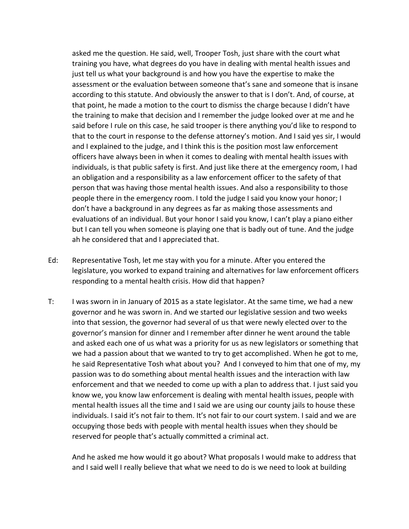asked me the question. He said, well, Trooper Tosh, just share with the court what training you have, what degrees do you have in dealing with mental health issues and just tell us what your background is and how you have the expertise to make the assessment or the evaluation between someone that's sane and someone that is insane according to this statute. And obviously the answer to that is I don't. And, of course, at that point, he made a motion to the court to dismiss the charge because I didn't have the training to make that decision and I remember the judge looked over at me and he said before I rule on this case, he said trooper is there anything you'd like to respond to that to the court in response to the defense attorney's motion. And I said yes sir, I would and I explained to the judge, and I think this is the position most law enforcement officers have always been in when it comes to dealing with mental health issues with individuals, is that public safety is first. And just like there at the emergency room, I had an obligation and a responsibility as a law enforcement officer to the safety of that person that was having those mental health issues. And also a responsibility to those people there in the emergency room. I told the judge I said you know your honor; I don't have a background in any degrees as far as making those assessments and evaluations of an individual. But your honor I said you know, I can't play a piano either but I can tell you when someone is playing one that is badly out of tune. And the judge ah he considered that and I appreciated that.

- Ed: Representative Tosh, let me stay with you for a minute. After you entered the legislature, you worked to expand training and alternatives for law enforcement officers responding to a mental health crisis. How did that happen?
- T: I was sworn in in January of 2015 as a state legislator. At the same time, we had a new governor and he was sworn in. And we started our legislative session and two weeks into that session, the governor had several of us that were newly elected over to the governor's mansion for dinner and I remember after dinner he went around the table and asked each one of us what was a priority for us as new legislators or something that we had a passion about that we wanted to try to get accomplished. When he got to me, he said Representative Tosh what about you? And I conveyed to him that one of my, my passion was to do something about mental health issues and the interaction with law enforcement and that we needed to come up with a plan to address that. I just said you know we, you know law enforcement is dealing with mental health issues, people with mental health issues all the time and I said we are using our county jails to house these individuals. I said it's not fair to them. It's not fair to our court system. I said and we are occupying those beds with people with mental health issues when they should be reserved for people that's actually committed a criminal act.

And he asked me how would it go about? What proposals I would make to address that and I said well I really believe that what we need to do is we need to look at building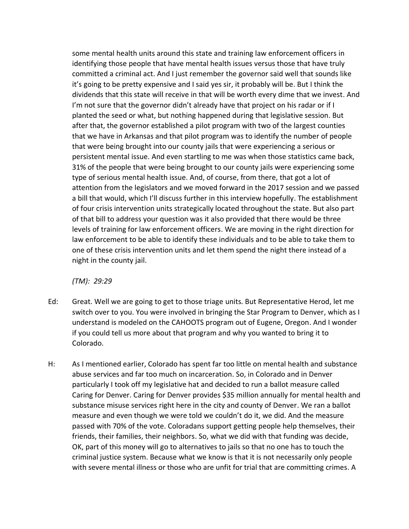some mental health units around this state and training law enforcement officers in identifying those people that have mental health issues versus those that have truly committed a criminal act. And I just remember the governor said well that sounds like it's going to be pretty expensive and I said yes sir, it probably will be. But I think the dividends that this state will receive in that will be worth every dime that we invest. And I'm not sure that the governor didn't already have that project on his radar or if I planted the seed or what, but nothing happened during that legislative session. But after that, the governor established a pilot program with two of the largest counties that we have in Arkansas and that pilot program was to identify the number of people that were being brought into our county jails that were experiencing a serious or persistent mental issue. And even startling to me was when those statistics came back, 31% of the people that were being brought to our county jails were experiencing some type of serious mental health issue. And, of course, from there, that got a lot of attention from the legislators and we moved forward in the 2017 session and we passed a bill that would, which I'll discuss further in this interview hopefully. The establishment of four crisis intervention units strategically located throughout the state. But also part of that bill to address your question was it also provided that there would be three levels of training for law enforcement officers. We are moving in the right direction for law enforcement to be able to identify these individuals and to be able to take them to one of these crisis intervention units and let them spend the night there instead of a night in the county jail.

*(TM): 29:29*

- Ed: Great. Well we are going to get to those triage units. But Representative Herod, let me switch over to you. You were involved in bringing the Star Program to Denver, which as I understand is modeled on the CAHOOTS program out of Eugene, Oregon. And I wonder if you could tell us more about that program and why you wanted to bring it to Colorado.
- H: As I mentioned earlier, Colorado has spent far too little on mental health and substance abuse services and far too much on incarceration. So, in Colorado and in Denver particularly I took off my legislative hat and decided to run a ballot measure called Caring for Denver. Caring for Denver provides \$35 million annually for mental health and substance misuse services right here in the city and county of Denver. We ran a ballot measure and even though we were told we couldn't do it, we did. And the measure passed with 70% of the vote. Coloradans support getting people help themselves, their friends, their families, their neighbors. So, what we did with that funding was decide, OK, part of this money will go to alternatives to jails so that no one has to touch the criminal justice system. Because what we know is that it is not necessarily only people with severe mental illness or those who are unfit for trial that are committing crimes. A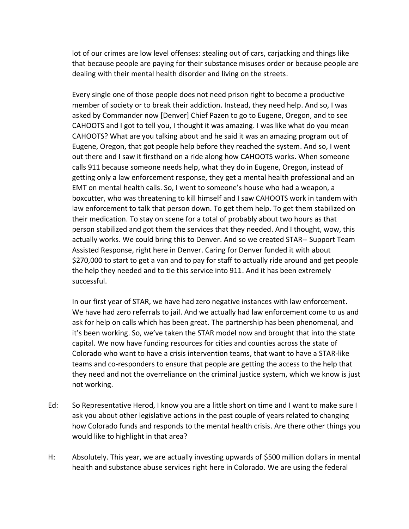lot of our crimes are low level offenses: stealing out of cars, carjacking and things like that because people are paying for their substance misuses order or because people are dealing with their mental health disorder and living on the streets.

Every single one of those people does not need prison right to become a productive member of society or to break their addiction. Instead, they need help. And so, I was asked by Commander now [Denver] Chief Pazen to go to Eugene, Oregon, and to see CAHOOTS and I got to tell you, I thought it was amazing. I was like what do you mean CAHOOTS? What are you talking about and he said it was an amazing program out of Eugene, Oregon, that got people help before they reached the system. And so, I went out there and I saw it firsthand on a ride along how CAHOOTS works. When someone calls 911 because someone needs help, what they do in Eugene, Oregon, instead of getting only a law enforcement response, they get a mental health professional and an EMT on mental health calls. So, I went to someone's house who had a weapon, a boxcutter, who was threatening to kill himself and I saw CAHOOTS work in tandem with law enforcement to talk that person down. To get them help. To get them stabilized on their medication. To stay on scene for a total of probably about two hours as that person stabilized and got them the services that they needed. And I thought, wow, this actually works. We could bring this to Denver. And so we created STAR-- Support Team Assisted Response, right here in Denver. Caring for Denver funded it with about \$270,000 to start to get a van and to pay for staff to actually ride around and get people the help they needed and to tie this service into 911. And it has been extremely successful.

In our first year of STAR, we have had zero negative instances with law enforcement. We have had zero referrals to jail. And we actually had law enforcement come to us and ask for help on calls which has been great. The partnership has been phenomenal, and it's been working. So, we've taken the STAR model now and brought that into the state capital. We now have funding resources for cities and counties across the state of Colorado who want to have a crisis intervention teams, that want to have a STAR-like teams and co-responders to ensure that people are getting the access to the help that they need and not the overreliance on the criminal justice system, which we know is just not working.

- Ed: So Representative Herod, I know you are a little short on time and I want to make sure I ask you about other legislative actions in the past couple of years related to changing how Colorado funds and responds to the mental health crisis. Are there other things you would like to highlight in that area?
- H: Absolutely. This year, we are actually investing upwards of \$500 million dollars in mental health and substance abuse services right here in Colorado. We are using the federal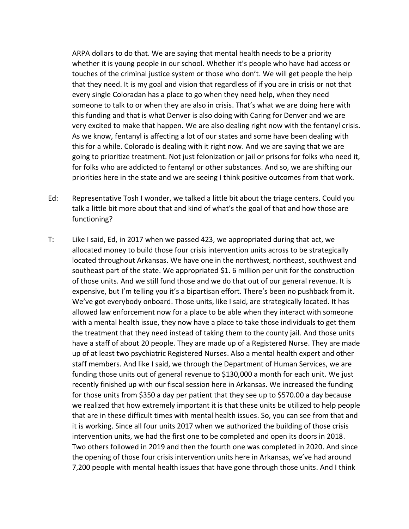ARPA dollars to do that. We are saying that mental health needs to be a priority whether it is young people in our school. Whether it's people who have had access or touches of the criminal justice system or those who don't. We will get people the help that they need. It is my goal and vision that regardless of if you are in crisis or not that every single Coloradan has a place to go when they need help, when they need someone to talk to or when they are also in crisis. That's what we are doing here with this funding and that is what Denver is also doing with Caring for Denver and we are very excited to make that happen. We are also dealing right now with the fentanyl crisis. As we know, fentanyl is affecting a lot of our states and some have been dealing with this for a while. Colorado is dealing with it right now. And we are saying that we are going to prioritize treatment. Not just felonization or jail or prisons for folks who need it, for folks who are addicted to fentanyl or other substances. And so, we are shifting our priorities here in the state and we are seeing I think positive outcomes from that work.

- Ed: Representative Tosh I wonder, we talked a little bit about the triage centers. Could you talk a little bit more about that and kind of what's the goal of that and how those are functioning?
- T: Like I said, Ed, in 2017 when we passed 423, we appropriated during that act, we allocated money to build those four crisis intervention units across to be strategically located throughout Arkansas. We have one in the northwest, northeast, southwest and southeast part of the state. We appropriated \$1. 6 million per unit for the construction of those units. And we still fund those and we do that out of our general revenue. It is expensive, but I'm telling you it's a bipartisan effort. There's been no pushback from it. We've got everybody onboard. Those units, like I said, are strategically located. It has allowed law enforcement now for a place to be able when they interact with someone with a mental health issue, they now have a place to take those individuals to get them the treatment that they need instead of taking them to the county jail. And those units have a staff of about 20 people. They are made up of a Registered Nurse. They are made up of at least two psychiatric Registered Nurses. Also a mental health expert and other staff members. And like I said, we through the Department of Human Services, we are funding those units out of general revenue to \$130,000 a month for each unit. We just recently finished up with our fiscal session here in Arkansas. We increased the funding for those units from \$350 a day per patient that they see up to \$570.00 a day because we realized that how extremely important it is that these units be utilized to help people that are in these difficult times with mental health issues. So, you can see from that and it is working. Since all four units 2017 when we authorized the building of those crisis intervention units, we had the first one to be completed and open its doors in 2018. Two others followed in 2019 and then the fourth one was completed in 2020. And since the opening of those four crisis intervention units here in Arkansas, we've had around 7,200 people with mental health issues that have gone through those units. And I think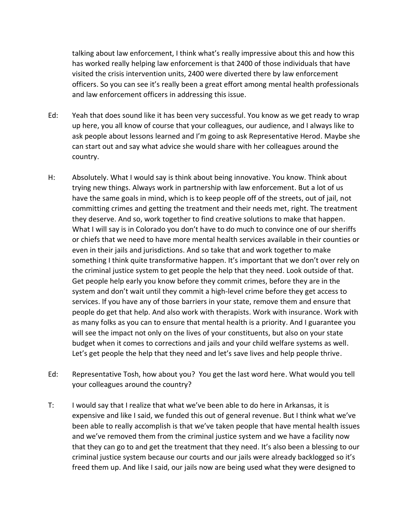talking about law enforcement, I think what's really impressive about this and how this has worked really helping law enforcement is that 2400 of those individuals that have visited the crisis intervention units, 2400 were diverted there by law enforcement officers. So you can see it's really been a great effort among mental health professionals and law enforcement officers in addressing this issue.

- Ed: Yeah that does sound like it has been very successful. You know as we get ready to wrap up here, you all know of course that your colleagues, our audience, and I always like to ask people about lessons learned and I'm going to ask Representative Herod. Maybe she can start out and say what advice she would share with her colleagues around the country.
- H: Absolutely. What I would say is think about being innovative. You know. Think about trying new things. Always work in partnership with law enforcement. But a lot of us have the same goals in mind, which is to keep people off of the streets, out of jail, not committing crimes and getting the treatment and their needs met, right. The treatment they deserve. And so, work together to find creative solutions to make that happen. What I will say is in Colorado you don't have to do much to convince one of our sheriffs or chiefs that we need to have more mental health services available in their counties or even in their jails and jurisdictions. And so take that and work together to make something I think quite transformative happen. It's important that we don't over rely on the criminal justice system to get people the help that they need. Look outside of that. Get people help early you know before they commit crimes, before they are in the system and don't wait until they commit a high-level crime before they get access to services. If you have any of those barriers in your state, remove them and ensure that people do get that help. And also work with therapists. Work with insurance. Work with as many folks as you can to ensure that mental health is a priority. And I guarantee you will see the impact not only on the lives of your constituents, but also on your state budget when it comes to corrections and jails and your child welfare systems as well. Let's get people the help that they need and let's save lives and help people thrive.
- Ed: Representative Tosh, how about you? You get the last word here. What would you tell your colleagues around the country?
- T: I would say that I realize that what we've been able to do here in Arkansas, it is expensive and like I said, we funded this out of general revenue. But I think what we've been able to really accomplish is that we've taken people that have mental health issues and we've removed them from the criminal justice system and we have a facility now that they can go to and get the treatment that they need. It's also been a blessing to our criminal justice system because our courts and our jails were already backlogged so it's freed them up. And like I said, our jails now are being used what they were designed to